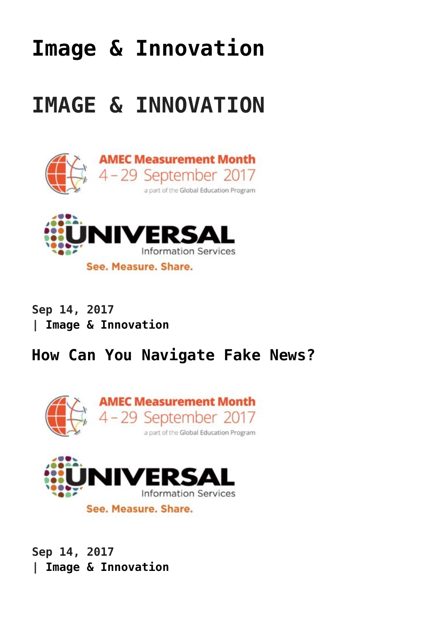# **[Image & Innovation](https://www.commpro.biz/image-innovation-channel/)**

# **IMAGE & INNOVATION**





**Sep 14, 2017 | [Image & Innovation](https://www.commpro.biz/./image-innovation/)**

# **[How Can You Navigate Fake News?](https://www.commpro.biz/how-can-you-navigate-fake-news/)**





**Sep 14, 2017 | [Image & Innovation](https://www.commpro.biz/./image-innovation/)**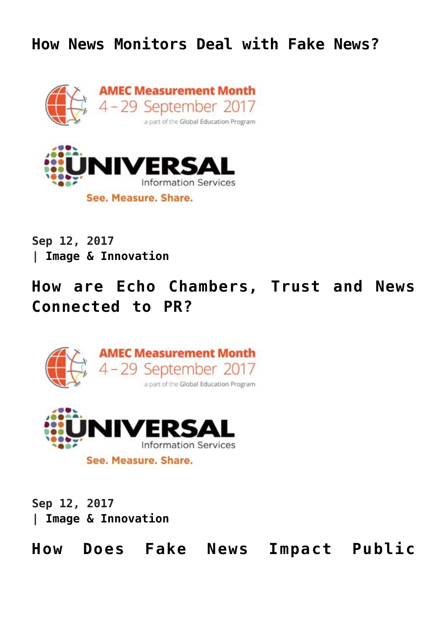#### **[How News Monitors Deal with Fake News?](https://www.commpro.biz/how-news-monitors-deal-with-fake-news/)**





**Sep 12, 2017 | [Image & Innovation](https://www.commpro.biz/./image-innovation/)**

**[How are Echo Chambers, Trust and News](https://www.commpro.biz/how-are-echo-chambers-trust-and-news-connected-to-pr/) [Connected to PR?](https://www.commpro.biz/how-are-echo-chambers-trust-and-news-connected-to-pr/)**





**Sep 12, 2017 | [Image & Innovation](https://www.commpro.biz/./image-innovation/)**

**[How Does Fake News Impact Public](https://www.commpro.biz/how-does-fake-news-impact-public-relations/)**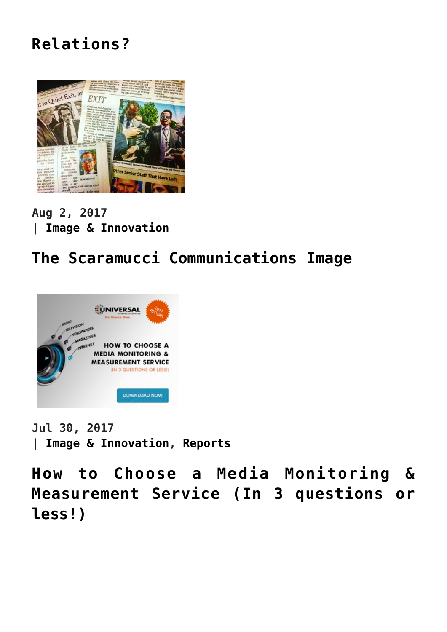# **[Relations?](https://www.commpro.biz/how-does-fake-news-impact-public-relations/)**



**Aug 2, 2017 | [Image & Innovation](https://www.commpro.biz/./image-innovation/)**

## **[The Scaramucci Communications Image](https://www.commpro.biz/the-scaramucci-communications-image/)**



**Jul 30, 2017 | [Image & Innovation](https://www.commpro.biz/./image-innovation/), [Reports](https://www.commpro.biz/./reports/)**

**[How to Choose a Media Monitoring &](https://www.commpro.biz/how-to-choose-a-media-monitoring/) [Measurement Service \(In 3 questions or](https://www.commpro.biz/how-to-choose-a-media-monitoring/) [less!\)](https://www.commpro.biz/how-to-choose-a-media-monitoring/)**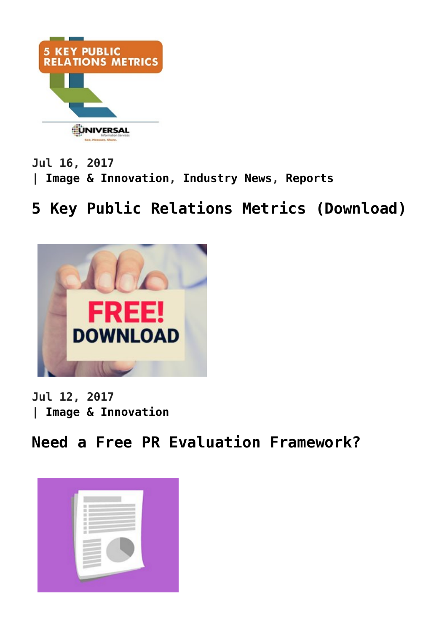

- **Jul 16, 2017 | [Image & Innovation](https://www.commpro.biz/./image-innovation/), [Industry News,](https://www.commpro.biz/./industry-news/) [Reports](https://www.commpro.biz/./reports/)**
- **[5 Key Public Relations Metrics \(Download\)](https://www.commpro.biz/5-key-public-relations-metrics-download/)**



**Jul 12, 2017 | [Image & Innovation](https://www.commpro.biz/./image-innovation/)**

**[Need a Free PR Evaluation Framework?](https://www.commpro.biz/need-a-free-pr-evaluation-framework/)**

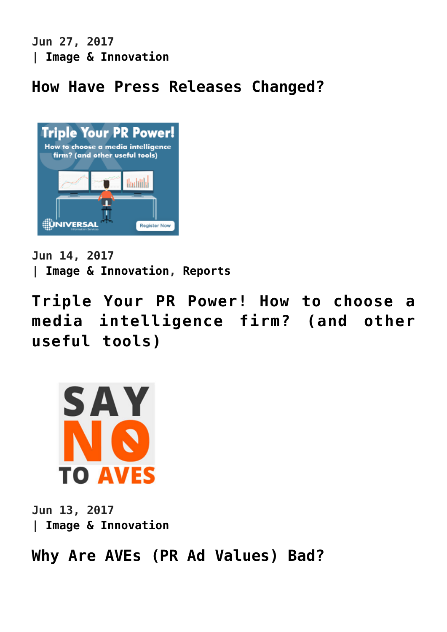**Jun 27, 2017 | [Image & Innovation](https://www.commpro.biz/./image-innovation/)**

#### **[How Have Press Releases Changed?](https://www.commpro.biz/how-have-press-releases-changed/)**



**Jun 14, 2017 | [Image & Innovation](https://www.commpro.biz/./image-innovation/), [Reports](https://www.commpro.biz/./reports/)**

**[Triple Your PR Power! How to choose a](https://www.commpro.biz/triple-your-pr-power-how-to-choose-a-media-intelligence-firm-and-other-useful-tools/) [media intelligence firm? \(and other](https://www.commpro.biz/triple-your-pr-power-how-to-choose-a-media-intelligence-firm-and-other-useful-tools/) [useful tools\)](https://www.commpro.biz/triple-your-pr-power-how-to-choose-a-media-intelligence-firm-and-other-useful-tools/)**



**Jun 13, 2017 | [Image & Innovation](https://www.commpro.biz/./image-innovation/)**

**[Why Are AVEs \(PR Ad Values\) Bad?](https://www.commpro.biz/why-are-pr-ad-values-bad/)**